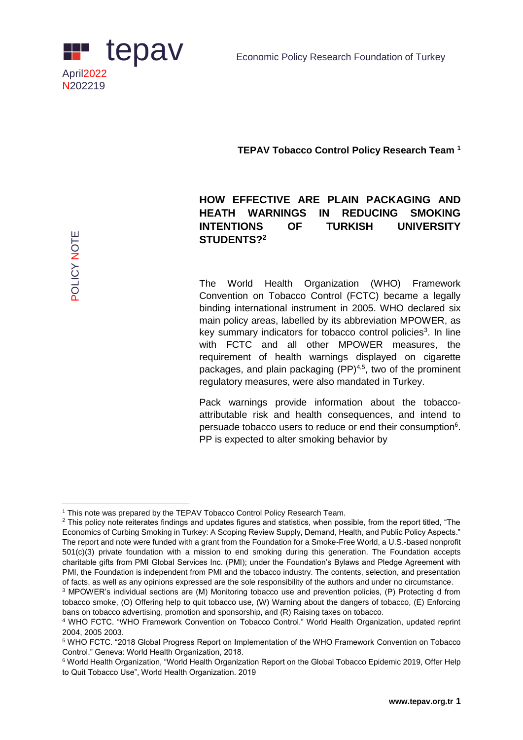

## **TEPAV Tobacco Control Policy Research Team <sup>1</sup>**

# **HOW EFFECTIVE ARE PLAIN PACKAGING AND HEATH WARNINGS IN REDUCING SMOKING INTENTIONS OF TURKISH UNIVERSITY STUDENTS?<sup>2</sup>**

The World Health Organization (WHO) Framework Convention on Tobacco Control (FCTC) became a legally binding international instrument in 2005. WHO declared six main policy areas, labelled by its abbreviation MPOWER, as key summary indicators for tobacco control policies<sup>3</sup>. In line with FCTC and all other MPOWER measures, the requirement of health warnings displayed on cigarette packages, and plain packaging  $(PP)^{4,5}$ , two of the prominent regulatory measures, were also mandated in Turkey.

Pack warnings provide information about the tobaccoattributable risk and health consequences, and intend to persuade tobacco users to reduce or end their consumption<sup>6</sup>. PP is expected to alter smoking behavior by

 <sup>1</sup> This note was prepared by the TEPAV Tobacco Control Policy Research Team.

<sup>&</sup>lt;sup>2</sup> This policy note reiterates findings and updates figures and statistics, when possible, from the report titled, "The Economics of Curbing Smoking in Turkey: A Scoping Review Supply, Demand, Health, and Public Policy Aspects." The report and note were funded with a grant from the Foundation for a Smoke-Free World, a U.S.-based nonprofit 501(c)(3) private foundation with a mission to end smoking during this generation. The Foundation accepts charitable gifts from PMI Global Services Inc. (PMI); under the Foundation's Bylaws and Pledge Agreement with PMI, the Foundation is independent from PMI and the tobacco industry. The contents, selection, and presentation of facts, as well as any opinions expressed are the sole responsibility of the authors and under no circumstance.

<sup>3</sup> MPOWER's individual sections are (M) Monitoring tobacco use and prevention policies, (P) Protecting d from tobacco smoke, (O) Offering help to quit tobacco use, (W) Warning about the dangers of tobacco, (E) Enforcing bans on tobacco advertising, promotion and sponsorship, and (R) Raising taxes on tobacco.

<sup>4</sup> WHO FCTC. "WHO Framework Convention on Tobacco Control." World Health Organization, updated reprint 2004, 2005 2003.

<sup>5</sup> WHO FCTC. "2018 Global Progress Report on Implementation of the WHO Framework Convention on Tobacco Control." Geneva: World Health Organization, 2018.

<sup>6</sup> World Health Organization, "World Health Organization Report on the Global Tobacco Epidemic 2019, Offer Help to Quit Tobacco Use", World Health Organization. 2019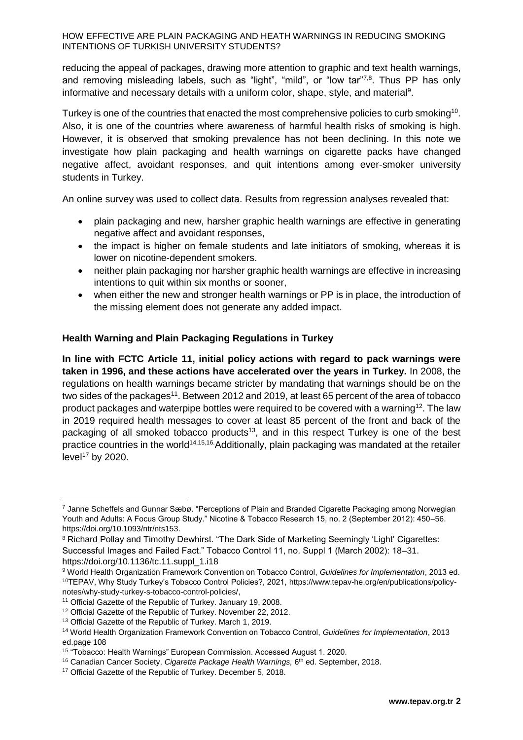reducing the appeal of packages, drawing more attention to graphic and text health warnings, and removing misleading labels, such as "light", "mild", or "low tar"7,8. Thus PP has only informative and necessary details with a uniform color, shape, style, and material $9$ .

Turkey is one of the countries that enacted the most comprehensive policies to curb smoking<sup>10</sup>. Also, it is one of the countries where awareness of harmful health risks of smoking is high. However, it is observed that smoking prevalence has not been declining. In this note we investigate how plain packaging and health warnings on cigarette packs have changed negative affect, avoidant responses, and quit intentions among ever-smoker university students in Turkey.

An online survey was used to collect data. Results from regression analyses revealed that:

- plain packaging and new, harsher graphic health warnings are effective in generating negative affect and avoidant responses,
- the impact is higher on female students and late initiators of smoking, whereas it is lower on nicotine-dependent smokers.
- neither plain packaging nor harsher graphic health warnings are effective in increasing intentions to quit within six months or sooner,
- when either the new and stronger health warnings or PP is in place, the introduction of the missing element does not generate any added impact.

### **Health Warning and Plain Packaging Regulations in Turkey**

**In line with FCTC Article 11, initial policy actions with regard to pack warnings were taken in 1996, and these actions have accelerated over the years in Turkey.** In 2008, the regulations on health warnings became stricter by mandating that warnings should be on the two sides of the packages<sup>11</sup>. Between 2012 and 2019, at least 65 percent of the area of tobacco product packages and waterpipe bottles were required to be covered with a warning<sup>12</sup>. The law in 2019 required health messages to cover at least 85 percent of the front and back of the packaging of all smoked tobacco products<sup>13</sup>, and in this respect Turkey is one of the best practice countries in the world<sup>14,15,16</sup>. Additionally, plain packaging was mandated at the retailer level $17$  by 2020.

 <sup>7</sup> Janne Scheffels and Gunnar Sæbø. "Perceptions of Plain and Branded Cigarette Packaging among Norwegian Youth and Adults: A Focus Group Study." Nicotine & Tobacco Research 15, no. 2 (September 2012): 450–56. https://doi.org/10.1093/ntr/nts153.

<sup>8</sup> Richard Pollay and Timothy Dewhirst. "The Dark Side of Marketing Seemingly 'Light' Cigarettes: Successful Images and Failed Fact." Tobacco Control 11, no. Suppl 1 (March 2002): 18–31.

[https://doi.org/10.1136/tc.11.suppl\\_1.i18](https://doi.org/10.1136/tc.11.suppl_1.i18)

<sup>9</sup> World Health Organization Framework Convention on Tobacco Control, *Guidelines for Implementation*, 2013 ed. 10TEPAV, Why Study Turkey's Tobacco Control Policies?, 2021, https://www.tepav-he.org/en/publications/policynotes/why-study-turkey-s-tobacco-control-policies/,

<sup>11</sup> Official Gazette of the Republic of Turkey. January 19, 2008.

<sup>12</sup> Official Gazette of the Republic of Turkey. November 22, 2012.

<sup>&</sup>lt;sup>13</sup> Official Gazette of the Republic of Turkey. March 1, 2019.

<sup>14</sup> World Health Organization Framework Convention on Tobacco Control, *Guidelines for Implementation*, 2013 ed.page 108

<sup>15</sup> "Tobacco: Health Warnings" European Commission. Accessed August 1. 2020.

<sup>&</sup>lt;sup>16</sup> Canadian Cancer Society, Cigarette Package Health Warnings, 6<sup>th</sup> ed. September, 2018.

<sup>&</sup>lt;sup>17</sup> Official Gazette of the Republic of Turkey. December 5, 2018.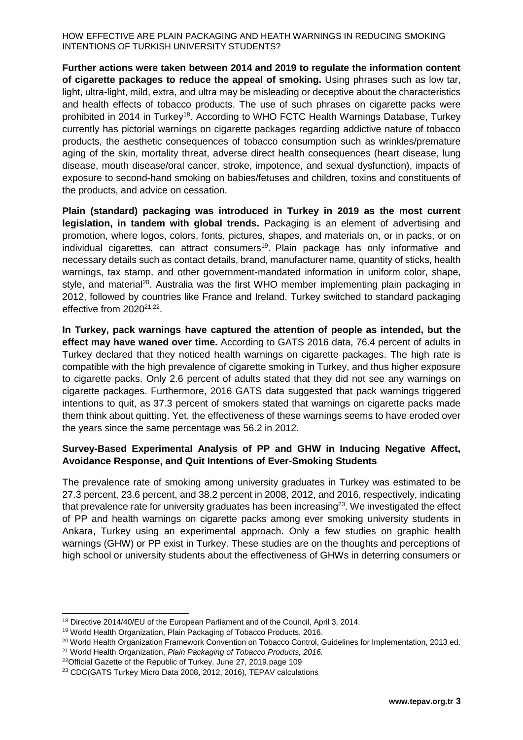**Further actions were taken between 2014 and 2019 to regulate the information content of cigarette packages to reduce the appeal of smoking.** Using phrases such as low tar, light, ultra-light, mild, extra, and ultra may be misleading or deceptive about the characteristics and health effects of tobacco products. The use of such phrases on cigarette packs were prohibited in 2014 in Turkey<sup>18</sup>. According to WHO FCTC Health Warnings Database, Turkey currently has pictorial warnings on cigarette packages regarding addictive nature of tobacco products, the aesthetic consequences of tobacco consumption such as wrinkles/premature aging of the skin, mortality threat, adverse direct health consequences (heart disease, lung disease, mouth disease/oral cancer, stroke, impotence, and sexual dysfunction), impacts of exposure to second-hand smoking on babies/fetuses and children, toxins and constituents of the products, and advice on cessation.

**Plain (standard) packaging was introduced in Turkey in 2019 as the most current legislation, in tandem with global trends.** Packaging is an element of advertising and promotion, where logos, colors, fonts, pictures, shapes, and materials on, or in packs, or on individual cigarettes, can attract consumers<sup>19</sup>. Plain package has only informative and necessary details such as contact details, brand, manufacturer name, quantity of sticks, health warnings, tax stamp, and other government-mandated information in uniform color, shape, style, and material<sup>20</sup>. Australia was the first WHO member implementing plain packaging in 2012, followed by countries like France and Ireland. Turkey switched to standard packaging effective from 2020<sup>21,22</sup>.

**In Turkey, pack warnings have captured the attention of people as intended, but the effect may have waned over time.** According to GATS 2016 data, 76.4 percent of adults in Turkey declared that they noticed health warnings on cigarette packages. The high rate is compatible with the high prevalence of cigarette smoking in Turkey, and thus higher exposure to cigarette packs. Only 2.6 percent of adults stated that they did not see any warnings on cigarette packages. Furthermore, 2016 GATS data suggested that pack warnings triggered intentions to quit, as 37.3 percent of smokers stated that warnings on cigarette packs made them think about quitting. Yet, the effectiveness of these warnings seems to have eroded over the years since the same percentage was 56.2 in 2012.

### **Survey-Based Experimental Analysis of PP and GHW in Inducing Negative Affect, Avoidance Response, and Quit Intentions of Ever-Smoking Students**

The prevalence rate of smoking among university graduates in Turkey was estimated to be 27.3 percent, 23.6 percent, and 38.2 percent in 2008, 2012, and 2016, respectively, indicating that prevalence rate for university graduates has been increasing<sup>23</sup>. We investigated the effect of PP and health warnings on cigarette packs among ever smoking university students in Ankara, Turkey using an experimental approach. Only a few studies on graphic health warnings (GHW) or PP exist in Turkey. These studies are on the thoughts and perceptions of high school or university students about the effectiveness of GHWs in deterring consumers or

 <sup>18</sup> Directive 2014/40/EU of the European Parliament and of the Council, April 3, 2014.

<sup>19</sup> World Health Organization, Plain Packaging of Tobacco Products, 2016.

<sup>&</sup>lt;sup>20</sup> World Health Organization Framework Convention on Tobacco Control, Guidelines for Implementation, 2013 ed.

<sup>21</sup> World Health Organization, *Plain Packaging of Tobacco Products, 2016.*

<sup>22</sup>Official Gazette of the Republic of Turkey. June 27, 2019.page 109

<sup>23</sup> CDC(GATS Turkey Micro Data 2008, 2012, 2016), TEPAV calculations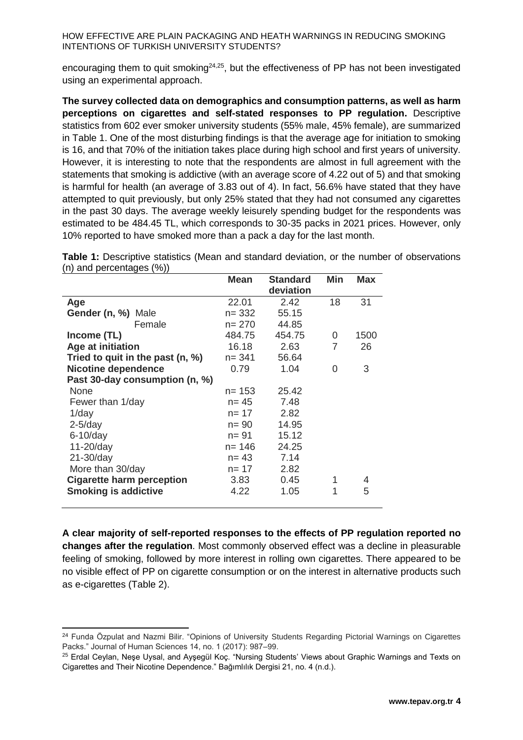encouraging them to quit smoking<sup>24,25</sup>, but the effectiveness of PP has not been investigated using an experimental approach.

**The survey collected data on demographics and consumption patterns, as well as harm perceptions on cigarettes and self-stated responses to PP regulation.** Descriptive statistics from 602 ever smoker university students (55% male, 45% female), are summarized in Table 1. One of the most disturbing findings is that the average age for initiation to smoking is 16, and that 70% of the initiation takes place during high school and first years of university. However, it is interesting to note that the respondents are almost in full agreement with the statements that smoking is addictive (with an average score of 4.22 out of 5) and that smoking is harmful for health (an average of 3.83 out of 4). In fact, 56.6% have stated that they have attempted to quit previously, but only 25% stated that they had not consumed any cigarettes in the past 30 days. The average weekly leisurely spending budget for the respondents was estimated to be 484.45 TL, which corresponds to 30-35 packs in 2021 prices. However, only 10% reported to have smoked more than a pack a day for the last month.

**Table 1:** Descriptive statistics (Mean and standard deviation, or the number of observations (n) and percentages (%))

|                                  | <b>Mean</b> | <b>Standard</b> | <b>Min</b> | <b>Max</b> |
|----------------------------------|-------------|-----------------|------------|------------|
|                                  |             | deviation       |            |            |
| Age                              | 22.01       | 2.42            | 18         | 31         |
| Gender (n, %) Male               | n= 332      | 55.15           |            |            |
| Female                           | $n = 270$   | 44.85           |            |            |
| Income (TL)                      | 484.75      | 454.75          | 0          | 1500       |
| Age at initiation                | 16.18       | 2.63            |            | 26         |
| Tried to quit in the past (n, %) | $n = 341$   | 56.64           |            |            |
| Nicotine dependence              | 0.79        | 1.04            | 0          | 3          |
| Past 30-day consumption (n, %)   |             |                 |            |            |
| None                             | n= 153      | 25.42           |            |            |
| Fewer than 1/day                 | $n = 45$    | 7.48            |            |            |
| $1$ /day                         | $n = 17$    | 2.82            |            |            |
| $2-5$ /day                       | $n = 90$    | 14.95           |            |            |
| $6-10/day$                       | $n = 91$    | 15.12           |            |            |
| 11-20/day                        | n= 146      | 24.25           |            |            |
| $21-30$ /day                     | $n = 43$    | 7.14            |            |            |
| More than 30/day                 | $n = 17$    | 2.82            |            |            |
| <b>Cigarette harm perception</b> | 3.83        | 0.45            |            | 4          |
| <b>Smoking is addictive</b>      | 4.22        | 1.05            | 1          | 5          |

**A clear majority of self-reported responses to the effects of PP regulation reported no changes after the regulation**. Most commonly observed effect was a decline in pleasurable feeling of smoking, followed by more interest in rolling own cigarettes. There appeared to be no visible effect of PP on cigarette consumption or on the interest in alternative products such as e-cigarettes (Table 2).

<sup>&</sup>lt;sup>24</sup> Funda Özpulat and Nazmi Bilir. "Opinions of University Students Regarding Pictorial Warnings on Cigarettes Packs." Journal of Human Sciences 14, no. 1 (2017): 987–99.

<sup>25</sup> Erdal Ceylan, Neşe Uysal, and Ayşegül Koç. "Nursing Students' Views about Graphic Warnings and Texts on Cigarettes and Their Nicotine Dependence." Bağımlılık Dergisi 21, no. 4 (n.d.).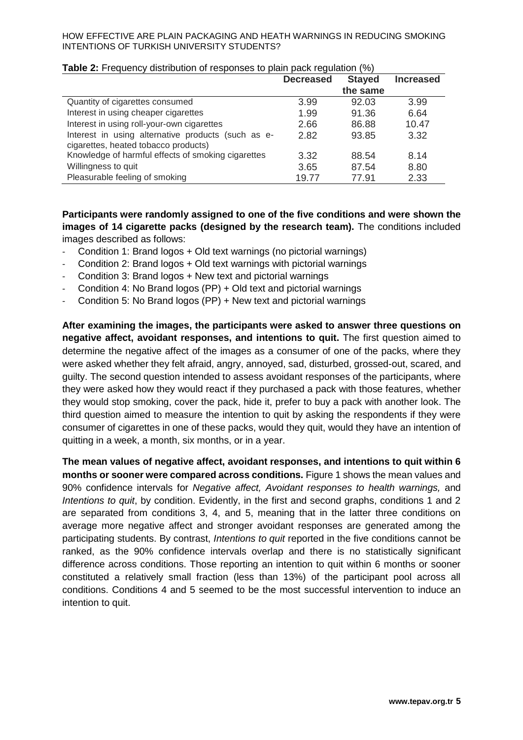|                                                                                            | <b>Decreased</b> | <b>Stayed</b> | <b>Increased</b> |
|--------------------------------------------------------------------------------------------|------------------|---------------|------------------|
|                                                                                            |                  | the same      |                  |
| Quantity of cigarettes consumed                                                            | 3.99             | 92.03         | 3.99             |
| Interest in using cheaper cigarettes                                                       | 1.99             | 91.36         | 6.64             |
| Interest in using roll-your-own cigarettes                                                 | 2.66             | 86.88         | 10.47            |
| Interest in using alternative products (such as e-<br>cigarettes, heated tobacco products) | 2.82             | 93.85         | 3.32             |
| Knowledge of harmful effects of smoking cigarettes                                         | 3.32             | 88.54         | 8.14             |
| Willingness to quit                                                                        | 3.65             | 87.54         | 8.80             |
| Pleasurable feeling of smoking                                                             | 19.77            | 77.91         | 2.33             |

#### **Table 2:** Frequency distribution of responses to plain pack regulation (%)

**Participants were randomly assigned to one of the five conditions and were shown the images of 14 cigarette packs (designed by the research team).** The conditions included images described as follows:

- Condition 1: Brand logos + Old text warnings (no pictorial warnings)
- Condition 2: Brand logos + Old text warnings with pictorial warnings
- Condition 3: Brand logos + New text and pictorial warnings
- Condition 4: No Brand logos (PP) + Old text and pictorial warnings
- Condition 5: No Brand logos (PP) + New text and pictorial warnings

**After examining the images, the participants were asked to answer three questions on negative affect, avoidant responses, and intentions to quit.** The first question aimed to determine the negative affect of the images as a consumer of one of the packs, where they were asked whether they felt afraid, angry, annoyed, sad, disturbed, grossed-out, scared, and guilty. The second question intended to assess avoidant responses of the participants, where they were asked how they would react if they purchased a pack with those features, whether they would stop smoking, cover the pack, hide it, prefer to buy a pack with another look. The third question aimed to measure the intention to quit by asking the respondents if they were consumer of cigarettes in one of these packs, would they quit, would they have an intention of quitting in a week, a month, six months, or in a year.

**The mean values of negative affect, avoidant responses, and intentions to quit within 6 months or sooner were compared across conditions.** Figure 1 shows the mean values and 90% confidence intervals for *Negative affect, Avoidant responses to health warnings,* and *Intentions to quit*, by condition. Evidently, in the first and second graphs, conditions 1 and 2 are separated from conditions 3, 4, and 5, meaning that in the latter three conditions on average more negative affect and stronger avoidant responses are generated among the participating students. By contrast, *Intentions to quit* reported in the five conditions cannot be ranked, as the 90% confidence intervals overlap and there is no statistically significant difference across conditions. Those reporting an intention to quit within 6 months or sooner constituted a relatively small fraction (less than 13%) of the participant pool across all conditions. Conditions 4 and 5 seemed to be the most successful intervention to induce an intention to quit.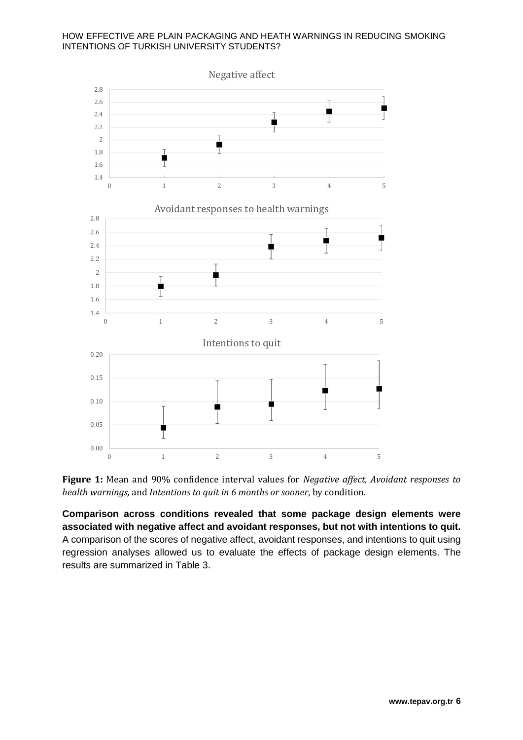

**Figure 1:** Mean and 90% confidence interval values for *Negative affect, Avoidant responses to health warnings,* and *Intentions to quit in 6 months or sooner*, by condition.

**Comparison across conditions revealed that some package design elements were associated with negative affect and avoidant responses, but not with intentions to quit.** A comparison of the scores of negative affect, avoidant responses, and intentions to quit using regression analyses allowed us to evaluate the effects of package design elements. The results are summarized in Table 3.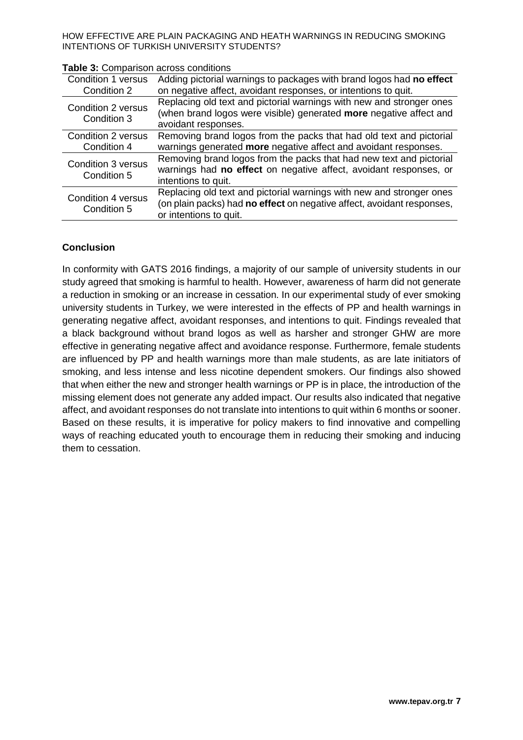| Condition 1 versus<br>Condition 2 | Adding pictorial warnings to packages with brand logos had no effect<br>on negative affect, avoidant responses, or intentions to quit.                                   |
|-----------------------------------|--------------------------------------------------------------------------------------------------------------------------------------------------------------------------|
| Condition 2 versus<br>Condition 3 | Replacing old text and pictorial warnings with new and stronger ones<br>(when brand logos were visible) generated more negative affect and<br>avoidant responses.        |
| Condition 2 versus<br>Condition 4 | Removing brand logos from the packs that had old text and pictorial<br>warnings generated more negative affect and avoidant responses.                                   |
| Condition 3 versus<br>Condition 5 | Removing brand logos from the packs that had new text and pictorial<br>warnings had no effect on negative affect, avoidant responses, or<br>intentions to quit.          |
| Condition 4 versus<br>Condition 5 | Replacing old text and pictorial warnings with new and stronger ones<br>(on plain packs) had no effect on negative affect, avoidant responses,<br>or intentions to quit. |

**Table 3:** Comparison across conditions

### **Conclusion**

In conformity with GATS 2016 findings, a majority of our sample of university students in our study agreed that smoking is harmful to health. However, awareness of harm did not generate a reduction in smoking or an increase in cessation. In our experimental study of ever smoking university students in Turkey, we were interested in the effects of PP and health warnings in generating negative affect, avoidant responses, and intentions to quit. Findings revealed that a black background without brand logos as well as harsher and stronger GHW are more effective in generating negative affect and avoidance response. Furthermore, female students are influenced by PP and health warnings more than male students, as are late initiators of smoking, and less intense and less nicotine dependent smokers. Our findings also showed that when either the new and stronger health warnings or PP is in place, the introduction of the missing element does not generate any added impact. Our results also indicated that negative affect, and avoidant responses do not translate into intentions to quit within 6 months or sooner. Based on these results, it is imperative for policy makers to find innovative and compelling ways of reaching educated youth to encourage them in reducing their smoking and inducing them to cessation.